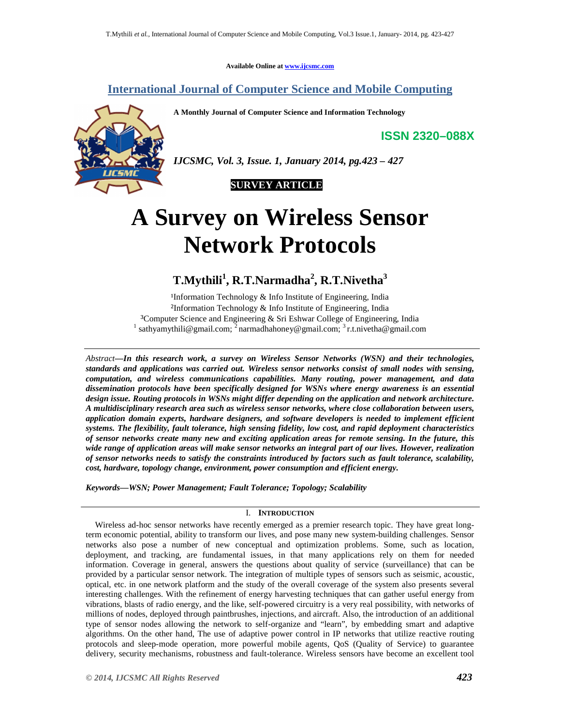**Available Online at www.ijcsmc.com**

### **International Journal of Computer Science and Mobile Computing**

**A Monthly Journal of Computer Science and Information Technology**

**ISSN 2320–088X**



*IJCSMC, Vol. 3, Issue. 1, January 2014, pg.423 – 427*



# **A Survey on Wireless Sensor Network Protocols**

## **T.Mythili<sup>1</sup> , R.T.Narmadha<sup>2</sup> , R.T.Nivetha<sup>3</sup>**

<sup>1</sup>Information Technology  $&$  Info Institute of Engineering, India ²Information Technology & Info Institute of Engineering, India <sup>3</sup>Computer Science and Engineering & Sri Eshwar College of Engineering, India <sup>1</sup> sathyamythili@gmail.com; <sup>2</sup> narmadhahoney@gmail.com; <sup>3</sup> r.t.nivetha@gmail.com

*Abstract—In this research work, a survey on Wireless Sensor Networks (WSN) and their technologies, standards and applications was carried out. Wireless sensor networks consist of small nodes with sensing, computation, and wireless communications capabilities. Many routing, power management, and data dissemination protocols have been specifically designed for WSNs where energy awareness is an essential design issue. Routing protocols in WSNs might differ depending on the application and network architecture. A multidisciplinary research area such as wireless sensor networks, where close collaboration between users, application domain experts, hardware designers, and software developers is needed to implement efficient systems. The flexibility, fault tolerance, high sensing fidelity, low cost, and rapid deployment characteristics of sensor networks create many new and exciting application areas for remote sensing. In the future, this wide range of application areas will make sensor networks an integral part of our lives. However, realization of sensor networks needs to satisfy the constraints introduced by factors such as fault tolerance, scalability, cost, hardware, topology change, environment, power consumption and efficient energy.*

*Keywords—WSN; Power Management; Fault Tolerance; Topology; Scalability*

#### I. **INTRODUCTION**

Wireless ad-hoc sensor networks have recently emerged as a premier research topic. They have great longterm economic potential, ability to transform our lives, and pose many new system-building challenges. Sensor networks also pose a number of new conceptual and optimization problems. Some, such as location, deployment, and tracking, are fundamental issues, in that many applications rely on them for needed information. Coverage in general, answers the questions about quality of service (surveillance) that can be provided by a particular sensor network. The integration of multiple types of sensors such as seismic, acoustic, optical, etc. in one network platform and the study of the overall coverage of the system also presents several interesting challenges. With the refinement of energy harvesting techniques that can gather useful energy from vibrations, blasts of radio energy, and the like, self-powered circuitry is a very real possibility, with networks of millions of nodes, deployed through paintbrushes, injections, and aircraft. Also, the introduction of an additional type of sensor nodes allowing the network to self-organize and "learn", by embedding smart and adaptive algorithms. On the other hand, The use of adaptive power control in IP networks that utilize reactive routing protocols and sleep-mode operation, more powerful mobile agents, QoS (Quality of Service) to guarantee delivery, security mechanisms, robustness and fault-tolerance. Wireless sensors have become an excellent tool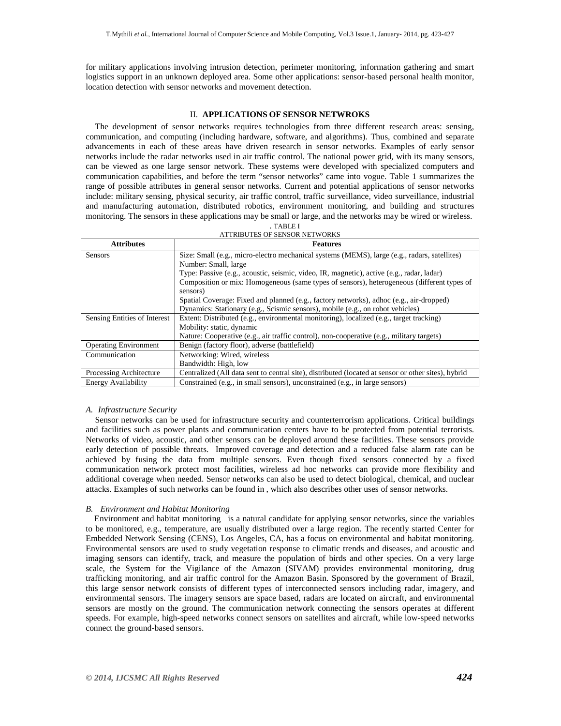for military applications involving intrusion detection, perimeter monitoring, information gathering and smart logistics support in an unknown deployed area. Some other applications: sensor-based personal health monitor, location detection with sensor networks and movement detection.

#### II. **APPLICATIONS OF SENSOR NETWROKS**

The development of sensor networks requires technologies from three different research areas: sensing, communication, and computing (including hardware, software, and algorithms). Thus, combined and separate advancements in each of these areas have driven research in sensor networks. Examples of early sensor networks include the radar networks used in air traffic control. The national power grid, with its many sensors, can be viewed as one large sensor network. These systems were developed with specialized computers and communication capabilities, and before the term "sensor networks" came into vogue. Table 1 summarizes the range of possible attributes in general sensor networks. Current and potential applications of sensor networks include: military sensing, physical security, air traffic control, traffic surveillance, video surveillance, industrial and manufacturing automation, distributed robotics, environment monitoring, and building and structures monitoring. The sensors in these applications may be small or large, and the networks may be wired or wireless.

| . TABLE I                     |
|-------------------------------|
| ATTRIBUTES OF SENSOR NETWORKS |

| <b>Attributes</b>            | <b>Features</b>                                                                                     |  |  |  |  |  |
|------------------------------|-----------------------------------------------------------------------------------------------------|--|--|--|--|--|
| Sensors                      | Size: Small (e.g., micro-electro mechanical systems (MEMS), large (e.g., radars, satellites)        |  |  |  |  |  |
|                              | Number: Small, large                                                                                |  |  |  |  |  |
|                              | Type: Passive (e.g., acoustic, seismic, video, IR, magnetic), active (e.g., radar, ladar)           |  |  |  |  |  |
|                              | Composition or mix: Homogeneous (same types of sensors), heterogeneous (different types of          |  |  |  |  |  |
|                              | sensors)                                                                                            |  |  |  |  |  |
|                              | Spatial Coverage: Fixed and planned (e.g., factory networks), adhoc (e.g., air-dropped)             |  |  |  |  |  |
|                              | Dynamics: Stationary (e.g., Scismic sensors), mobile (e.g., on robot vehicles)                      |  |  |  |  |  |
| Sensing Entities of Interest | Extent: Distributed (e.g., environmental monitoring), localized (e.g., target tracking)             |  |  |  |  |  |
|                              | Mobility: static, dynamic                                                                           |  |  |  |  |  |
|                              | Nature: Cooperative (e.g., air traffic control), non-cooperative (e.g., military targets)           |  |  |  |  |  |
| <b>Operating Environment</b> | Benign (factory floor), adverse (battlefield)                                                       |  |  |  |  |  |
| Communication                | Networking: Wired, wireless                                                                         |  |  |  |  |  |
|                              | Bandwidth: High, low                                                                                |  |  |  |  |  |
| Processing Architecture      | Centralized (All data sent to central site), distributed (located at sensor or other sites), hybrid |  |  |  |  |  |
| <b>Energy Availability</b>   | Constrained (e.g., in small sensors), unconstrained (e.g., in large sensors)                        |  |  |  |  |  |

#### *A. Infrastructure Security*

Sensor networks can be used for infrastructure security and counterterrorism applications. Critical buildings and facilities such as power plants and communication centers have to be protected from potential terrorists. Networks of video, acoustic, and other sensors can be deployed around these facilities. These sensors provide early detection of possible threats. Improved coverage and detection and a reduced false alarm rate can be achieved by fusing the data from multiple sensors. Even though fixed sensors connected by a fixed communication network protect most facilities, wireless ad hoc networks can provide more flexibility and additional coverage when needed. Sensor networks can also be used to detect biological, chemical, and nuclear attacks. Examples of such networks can be found in , which also describes other uses of sensor networks.

#### *B. Environment and Habitat Monitoring*

 Environment and habitat monitoring is a natural candidate for applying sensor networks, since the variables to be monitored, e.g., temperature, are usually distributed over a large region. The recently started Center for Embedded Network Sensing (CENS), Los Angeles, CA, has a focus on environmental and habitat monitoring. Environmental sensors are used to study vegetation response to climatic trends and diseases, and acoustic and imaging sensors can identify, track, and measure the population of birds and other species. On a very large scale, the System for the Vigilance of the Amazon (SIVAM) provides environmental monitoring, drug trafficking monitoring, and air traffic control for the Amazon Basin. Sponsored by the government of Brazil, this large sensor network consists of different types of interconnected sensors including radar, imagery, and environmental sensors. The imagery sensors are space based, radars are located on aircraft, and environmental sensors are mostly on the ground. The communication network connecting the sensors operates at different speeds. For example, high-speed networks connect sensors on satellites and aircraft, while low-speed networks connect the ground-based sensors.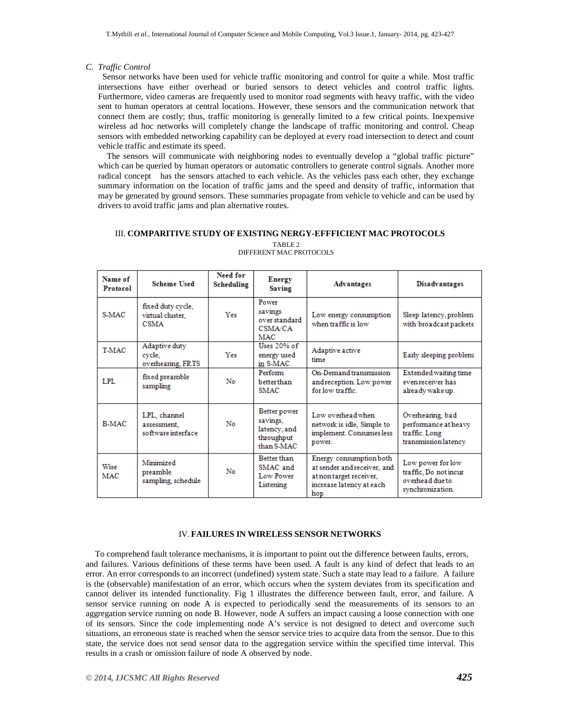#### *C. Traffic Control*

Sensor networks have been used for vehicle traffic monitoring and control for quite a while. Most traffic intersections have either overhead or buried sensors to detect vehicles and control traffic lights. Furthermore, video cameras are frequently used to monitor road segments with heavy traffic, with the video sent to human operators at central locations. However, these sensors and the communication network that connect them are costly; thus, traffic monitoring is generally limited to a few critical points. Inexpensive wireless ad hoc networks will completely change the landscape of traffic monitoring and control. Cheap sensors with embedded networking capability can be deployed at every road intersection to detect and count vehicle traffic and estimate its speed.

 The sensors will communicate with neighboring nodes to eventually develop a "global traffic picture" which can be queried by human operators or automatic controllers to generate control signals. Another more radical concept has the sensors attached to each vehicle. As the vehicles pass each other, they exchange summary information on the location of traffic jams and the speed and density of traffic, information that may be generated by ground sensors. These summaries propagate from vehicle to vehicle and can be used by drivers to avoid traffic jams and plan alternative routes.

#### III. **COMPARITIVE STUDY OF EXISTING NERGY-EFFFICIENT MAC PROTOCOLS**

| Name of<br>Protocol | <b>Scheme Used</b>                                   | Need for<br>Scheduling | <b>Energy</b><br><b>Saving</b>                                       | <b>Advantages</b>                                                                                                    | <b>Disadvantages</b>                                                              |
|---------------------|------------------------------------------------------|------------------------|----------------------------------------------------------------------|----------------------------------------------------------------------------------------------------------------------|-----------------------------------------------------------------------------------|
| S-MAC               | fixed duty cycle,<br>virtual cluster,<br><b>CSMA</b> | Yes                    | Power<br>savings<br>over standard<br>CSMA/CA<br><b>MAC</b>           | Low energy consumption<br>when traffic is low                                                                        | Sleep latency, problem<br>with broadcast packets                                  |
| <b>T-MAC</b>        | Adaptive duty<br>cycle,<br>overhearing, FRTS         | Yes                    | Uses 20% of<br>energy used<br>in S-MAC.                              | Adaptive active<br>time                                                                                              | Early sleeping problem                                                            |
| LPL.                | fixed preamble<br>sampling                           | No                     | Perform<br>betterthan<br><b>SMAC</b>                                 | On-Demand transmission<br>and reception. Low power<br>for low traffic                                                | Extended waiting time<br>even receiver has<br>already wake up.                    |
| <b>B-MAC</b>        | LPL, channel<br>assessment.<br>software interface    | No                     | Better power<br>savings,<br>latency, and<br>throughput<br>than S-MAC | Low overhead when<br>network is idle, Simple to<br>implement. Consumes less<br>power.                                | Overhearing, bad<br>performance at heavy<br>traffic. Long<br>transmission latency |
| Wise<br>MAC         | Minimized<br>preamble<br>sampling, schedule          | No                     | Better than<br>SMAC and<br>Low Power<br>Listening                    | Energy consumption both<br>at sender and receiver, and<br>at non target receiver,<br>increase latency at each<br>hop | Low power for low<br>traffic. Do not incur<br>overhead due to<br>synchronization. |

TABLE 2 DIFFERENT MAC PROTOCOLS

#### IV.**FAILURES IN WIRELESS SENSOR NETWORKS**

To comprehend fault tolerance mechanisms, it is important to point out the difference between faults, errors, and failures. Various definitions of these terms have been used. A fault is any kind of defect that leads to an error. An error corresponds to an incorrect (undefined) system state. Such a state may lead to a failure. A failure is the (observable) manifestation of an error, which occurs when the system deviates from its specification and cannot deliver its intended functionality. Fig 1 illustrates the difference between fault, error, and failure. A sensor service running on node A is expected to periodically send the measurements of its sensors to an aggregation service running on node B. However, node A suffers an impact causing a loose connection with one of its sensors. Since the code implementing node A's service is not designed to detect and overcome such situations, an erroneous state is reached when the sensor service tries to acquire data from the sensor. Due to this state, the service does not send sensor data to the aggregation service within the specified time interval. This results in a crash or omission failure of node A observed by node.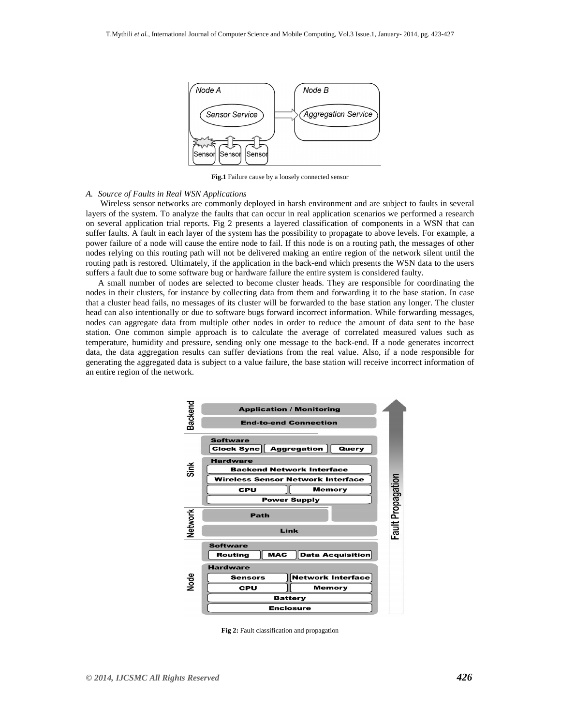

**Fig.1** Failure cause by a loosely connected sensor

#### *A. Source of Faults in Real WSN Applications*

Wireless sensor networks are commonly deployed in harsh environment and are subject to faults in several layers of the system. To analyze the faults that can occur in real application scenarios we performed a research on several application trial reports. Fig 2 presents a layered classification of components in a WSN that can suffer faults. A fault in each layer of the system has the possibility to propagate to above levels. For example, a power failure of a node will cause the entire node to fail. If this node is on a routing path, the messages of other nodes relying on this routing path will not be delivered making an entire region of the network silent until the routing path is restored. Ultimately, if the application in the back-end which presents the WSN data to the users suffers a fault due to some software bug or hardware failure the entire system is considered faulty.

A small number of nodes are selected to become cluster heads. They are responsible for coordinating the nodes in their clusters, for instance by collecting data from them and forwarding it to the base station. In case that a cluster head fails, no messages of its cluster will be forwarded to the base station any longer. The cluster head can also intentionally or due to software bugs forward incorrect information. While forwarding messages, nodes can aggregate data from multiple other nodes in order to reduce the amount of data sent to the base station. One common simple approach is to calculate the average of correlated measured values such as temperature, humidity and pressure, sending only one message to the back-end. If a node generates incorrect data, the data aggregation results can suffer deviations from the real value. Also, if a node responsible for generating the aggregated data is subject to a value failure, the base station will receive incorrect information of an entire region of the network.



**Fig 2:** Fault classification and propagation